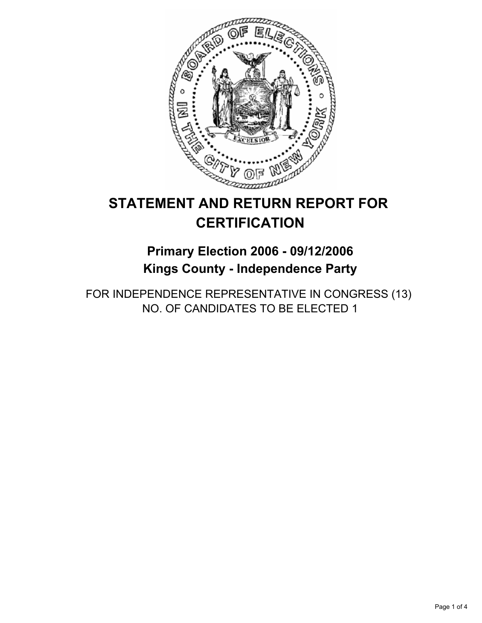

# **STATEMENT AND RETURN REPORT FOR CERTIFICATION**

**Primary Election 2006 - 09/12/2006 Kings County - Independence Party**

FOR INDEPENDENCE REPRESENTATIVE IN CONGRESS (13) NO. OF CANDIDATES TO BE ELECTED 1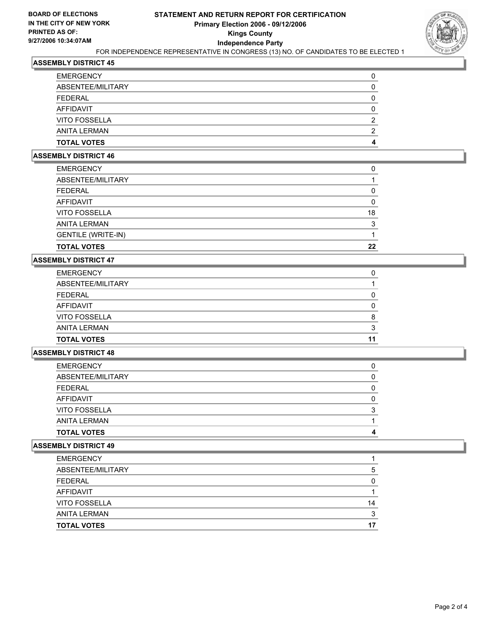

# **ASSEMBLY DISTRICT 45**

#### **ASSEMBLY DISTRICT 46**

| ABSENTEE/MILITARY<br><b>FEDERAL</b> |    |
|-------------------------------------|----|
| AFFIDAVIT                           |    |
| <b>VITO FOSSELLA</b>                | 18 |
| <b>ANITA LERMAN</b>                 | ◠  |
| <b>GENTILE (WRITE-IN)</b>           |    |
| <b>TOTAL VOTES</b>                  | 22 |

### **ASSEMBLY DISTRICT 47**

| <b>EMERGENCY</b>     |    |
|----------------------|----|
| ABSENTEE/MILITARY    |    |
| <b>FEDERAL</b>       |    |
| AFFIDAVIT            |    |
| <b>VITO FOSSELLA</b> |    |
| <b>ANITA LERMAN</b>  |    |
| <b>TOTAL VOTES</b>   | 11 |

#### **ASSEMBLY DISTRICT 48**

| <b>EMERGENCY</b>     |  |
|----------------------|--|
| ABSENTEE/MILITARY    |  |
| FEDERAL              |  |
| AFFIDAVIT            |  |
| <b>VITO FOSSELLA</b> |  |
| ANITA LERMAN         |  |
| <b>TOTAL VOTES</b>   |  |

## **ASSEMBLY DISTRICT 49**

| <b>EMERGENCY</b>     |    |
|----------------------|----|
| ABSENTEE/MILITARY    | G  |
| <b>FEDERAL</b>       |    |
| <b>AFFIDAVIT</b>     |    |
| <b>VITO FOSSELLA</b> | 14 |
| <b>ANITA LERMAN</b>  |    |
| <b>TOTAL VOTES</b>   | 17 |
|                      |    |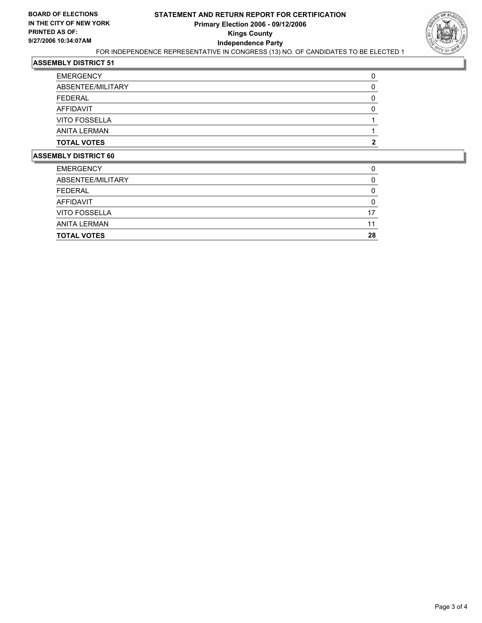

# **ASSEMBLY DISTRICT 51**

| <b>EMERGENCY</b>     |  |
|----------------------|--|
| ABSENTEE/MILITARY    |  |
| <b>FEDERAL</b>       |  |
| AFFIDAVIT            |  |
| <b>VITO FOSSELLA</b> |  |
| ANITA LERMAN         |  |
| <b>TOTAL VOTES</b>   |  |

#### **ASSEMBLY DISTRICT 60**

| <b>TOTAL VOTES</b>   | 28 |
|----------------------|----|
| <b>ANITA LERMAN</b>  |    |
| <b>VITO FOSSELLA</b> |    |
| AFFIDAVIT            |    |
| <b>FEDERAL</b>       |    |
| ABSENTEE/MILITARY    |    |
| <b>EMERGENCY</b>     |    |